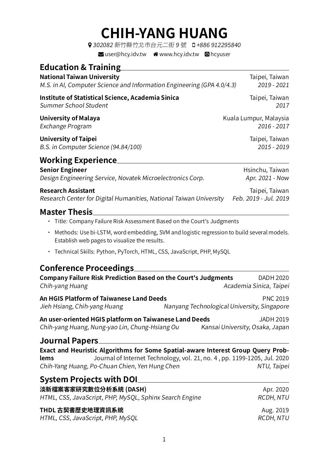## **CHIH-YANG HUANG**

| ? 302082 新竹縣竹北市台元二街 9 號 □ +886 912295840 |  |
|------------------------------------------|--|
| $\blacktriangleright$ user@hcy.idv.tw    |  |

| <b>Education &amp; Training</b>                                                                                                                                                                                        |                                             |
|------------------------------------------------------------------------------------------------------------------------------------------------------------------------------------------------------------------------|---------------------------------------------|
| <b>National Taiwan University</b>                                                                                                                                                                                      | Taipei, Taiwan                              |
| M.S. in AI, Computer Science and Information Engineering (GPA 4.0/4.3)                                                                                                                                                 | 2019 - 2021                                 |
| <b>Institute of Statistical Science, Academia Sinica</b>                                                                                                                                                               | Taipei, Taiwan                              |
| Summer School Student                                                                                                                                                                                                  | 2017                                        |
| <b>University of Malaya</b>                                                                                                                                                                                            | Kuala Lumpur, Malaysia                      |
| Exchange Program                                                                                                                                                                                                       | 2016 - 2017                                 |
| <b>University of Taipei</b>                                                                                                                                                                                            | Taipei, Taiwan                              |
| B.S. in Computer Science (94.84/100)                                                                                                                                                                                   | 2015 - 2019                                 |
| <b>Working Experience</b>                                                                                                                                                                                              |                                             |
| <b>Senior Engineer</b>                                                                                                                                                                                                 | Hsinchu, Taiwan                             |
| Design Engineering Service, Novatek Microelectronics Corp.                                                                                                                                                             | Apr. 2021 - Now                             |
| <b>Research Assistant</b>                                                                                                                                                                                              | Taipei, Taiwan                              |
| Research Center for Digital Humanities, National Taiwan University                                                                                                                                                     | Feb. 2019 - Jul. 2019                       |
| <b>Master Thesis</b>                                                                                                                                                                                                   |                                             |
| • Title: Company Failure Risk Assessment Based on the Court's Judgments                                                                                                                                                |                                             |
| Methods: Use bi-LSTM, word embedding, SVM and logistic regression to build several models.<br>٠<br>Establish web pages to visualize the results.                                                                       |                                             |
| Technical Skills: Python, PyTorch, HTML, CSS, JavaScript, PHP, MySQL<br>٠                                                                                                                                              |                                             |
| <b>Conference Proceedings</b>                                                                                                                                                                                          |                                             |
| <b>Company Failure Risk Prediction Based on the Court's Judgments</b>                                                                                                                                                  | DADH 2020                                   |
| Chih-yang Huang                                                                                                                                                                                                        | Academia Sinica, Taipei                     |
| <b>An HGIS Platform of Taiwanese Land Deeds</b>                                                                                                                                                                        | <b>PNC 2019</b>                             |
| Jieh Hsiang, Chih-yang Huang                                                                                                                                                                                           | Nanyang Technological University, Singapore |
| An user-oriented HGIS platform on Taiwanese Land Deeds                                                                                                                                                                 | <b>JADH 2019</b>                            |
| Chih-yang Huang, Nung-yao Lin, Chung-Hsiang Ou                                                                                                                                                                         | Kansai University, Osaka, Japan             |
| <b>Journal Papers</b>                                                                                                                                                                                                  |                                             |
| Exact and Heuristic Algorithms for Some Spatial-aware Interest Group Query Prob-<br>Journal of Internet Technology, vol. 21, no. 4, pp. 1199-1205, Jul. 2020<br>lems<br>Chih-Yang Huang, Po-Chuan Chien, Yen Hung Chen | NTU, Taipei                                 |
| <b>System Projects with DOI</b>                                                                                                                                                                                        |                                             |
| 淡新檔案客家研究數位分析系統 (DASH)                                                                                                                                                                                                  | Apr. 2020                                   |
| HTML, CSS, JavaScript, PHP, MySQL, Sphinx Search Engine                                                                                                                                                                | RCDH, NTU                                   |

| THDL 古契書歷史地理資訊系統 |  |  |  |  |  |
|------------------|--|--|--|--|--|
|                  |  |  |  |  |  |

HTML, CSS, JavaScript, PHP, MySQL REDUCTION CONTROLLER REDUCTION AT U

Aug. 2019